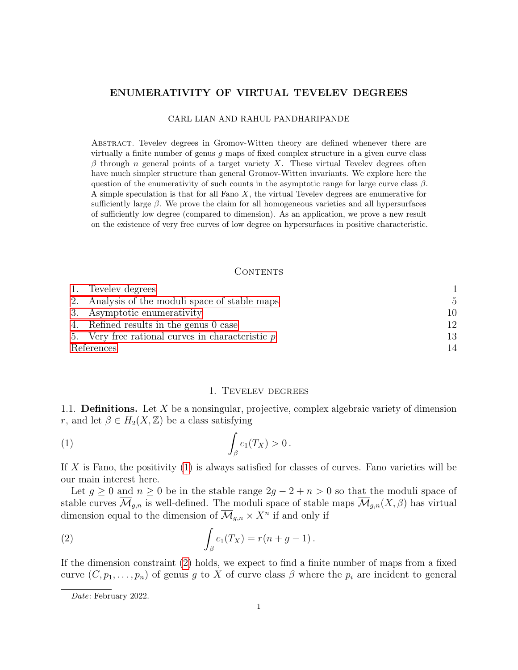# ENUMERATIVITY OF VIRTUAL TEVELEV DEGREES

#### CARL LIAN AND RAHUL PANDHARIPANDE

Abstract. Tevelev degrees in Gromov-Witten theory are defined whenever there are virtually a finite number of genus g maps of fixed complex structure in a given curve class  $\beta$  through n general points of a target variety X. These virtual Tevelev degrees often have much simpler structure than general Gromov-Witten invariants. We explore here the question of the enumerativity of such counts in the asymptotic range for large curve class  $\beta$ . A simple speculation is that for all Fano  $X$ , the virtual Tevelev degrees are enumerative for sufficiently large  $\beta$ . We prove the claim for all homogeneous varieties and all hypersurfaces of sufficiently low degree (compared to dimension). As an application, we prove a new result on the existence of very free curves of low degree on hypersurfaces in positive characteristic.

# CONTENTS

|            | 1. Tevelev degrees                                 |    |
|------------|----------------------------------------------------|----|
|            | 2. Analysis of the moduli space of stable maps     | .5 |
|            | 3. Asymptotic enumerativity                        | 10 |
|            | 4. Refined results in the genus 0 case             | 12 |
|            | 5. Very free rational curves in characteristic $p$ | 13 |
| References |                                                    | 14 |

### <span id="page-0-1"></span>1. Tevelev degrees

<span id="page-0-0"></span>1.1. **Definitions.** Let  $X$  be a nonsingular, projective, complex algebraic variety of dimension r, and let  $\beta \in H_2(X, \mathbb{Z})$  be a class satisfying

$$
(1) \qquad \qquad \int_{\beta} c_1(T_X) > 0 \, .
$$

If X is Fano, the positivity  $(1)$  is always satisfied for classes of curves. Fano varieties will be our main interest here.

Let  $g \geq 0$  and  $n \geq 0$  be in the stable range  $2g - 2 + n > 0$  so that the moduli space of stable curves  $\overline{\mathcal{M}}_{g,n}$  is well-defined. The moduli space of stable maps  $\overline{\mathcal{M}}_{g,n}(X,\beta)$  has virtual dimension equal to the dimension of  $\overline{\mathcal{M}}_{g,n} \times X^n$  if and only if

<span id="page-0-2"></span>(2) 
$$
\int_{\beta} c_1(T_X) = r(n + g - 1).
$$

If the dimension constraint [\(2\)](#page-0-2) holds, we expect to find a finite number of maps from a fixed curve  $(C, p_1, \ldots, p_n)$  of genus g to X of curve class  $\beta$  where the  $p_i$  are incident to general

Date: February 2022.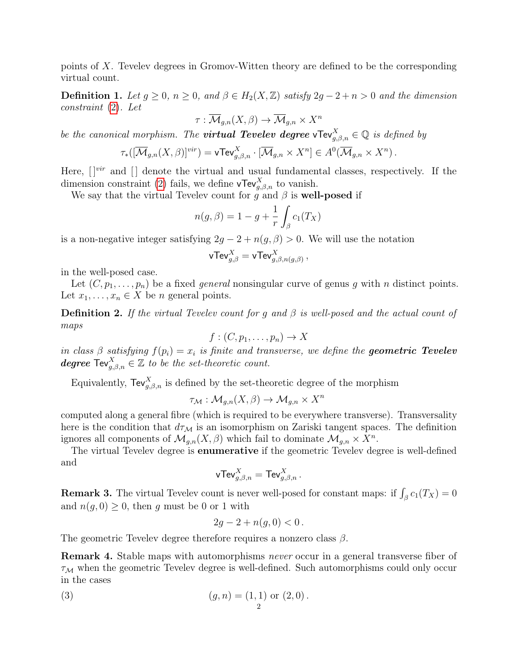points of X. Tevelev degrees in Gromov-Witten theory are defined to be the corresponding virtual count.

**Definition 1.** Let  $g \ge 0$ ,  $n \ge 0$ , and  $\beta \in H_2(X, \mathbb{Z})$  satisfy  $2g - 2 + n > 0$  and the dimension constraint [\(2\)](#page-0-2). Let

$$
\tau : \overline{\mathcal{M}}_{g,n}(X,\beta) \to \overline{\mathcal{M}}_{g,n} \times X^n
$$

be the canonical morphism. The **virtual Tevelev degree** vTev $_{g,\beta,n}^X \in \mathbb{Q}$  is defined by

$$
\tau_*([\overline{\mathcal{M}}_{g,n}(X,\beta)]^{vir}) = \mathsf{vTev}^X_{g,\beta,n} \cdot [\overline{\mathcal{M}}_{g,n} \times X^n] \in A^0(\overline{\mathcal{M}}_{g,n} \times X^n).
$$

Here,  $[$  $]^{vir}$  and  $[$  $]$  denote the virtual and usual fundamental classes, respectively. If the dimension constraint [\(2\)](#page-0-2) fails, we define  $\mathsf{vTev}_{g,\beta,n}^X$  to vanish.

We say that the virtual Tevelev count for  $\tilde{g}$  and  $\beta$  is well-posed if

$$
n(g,\beta) = 1 - g + \frac{1}{r} \int_{\beta} c_1(T_X)
$$

is a non-negative integer satisfying  $2g - 2 + n(g, \beta) > 0$ . We will use the notation

$$
\mathsf{vTev}_{g,\beta}^X = \mathsf{vTev}_{g,\beta,n(g,\beta)}^X\,,
$$

in the well-posed case.

Let  $(C, p_1, \ldots, p_n)$  be a fixed *general* nonsingular curve of genus g with n distinct points. Let  $x_1, \ldots, x_n \in X$  be *n* general points.

**Definition 2.** If the virtual Tevelev count for g and  $\beta$  is well-posed and the actual count of maps

$$
f:(C,p_1,\ldots,p_n)\to X
$$

in class  $\beta$  satisfying  $f(p_i) = x_i$  is finite and transverse, we define the **geometric Tevelev** degree  $\mathsf{Tw}_{g,\beta,n}^X \in \mathbb{Z}$  to be the set-theoretic count.

Equivalently,  $\text{TeV}_{g,\beta,n}^X$  is defined by the set-theoretic degree of the morphism

$$
\tau_{\mathcal{M}}: \mathcal{M}_{g,n}(X,\beta) \to \mathcal{M}_{g,n} \times X^n
$$

computed along a general fibre (which is required to be everywhere transverse). Transversality here is the condition that  $d\tau_M$  is an isomorphism on Zariski tangent spaces. The definition ignores all components of  $\mathcal{M}_{g,n}(X,\beta)$  which fail to dominate  $\mathcal{M}_{g,n} \times X^n$ .

The virtual Tevelev degree is enumerative if the geometric Tevelev degree is well-defined and

$$
\mathsf{vTev}^X_{g,\beta,n}=\mathsf{Tev}^X_{g,\beta,n}\,.
$$

**Remark 3.** The virtual Tevelev count is never well-posed for constant maps: if  $\int_{\beta} c_1(T_X) = 0$ and  $n(g, 0) \geq 0$ , then g must be 0 or 1 with

<span id="page-1-0"></span>
$$
2g - 2 + n(g, 0) < 0 \, .
$$

The geometric Tevelev degree therefore requires a nonzero class  $\beta$ .

Remark 4. Stable maps with automorphisms never occur in a general transverse fiber of  $\tau_M$  when the geometric Tevelev degree is well-defined. Such automorphisms could only occur in the cases

(3) 
$$
(g, n) = (1, 1) \text{ or } (2, 0).
$$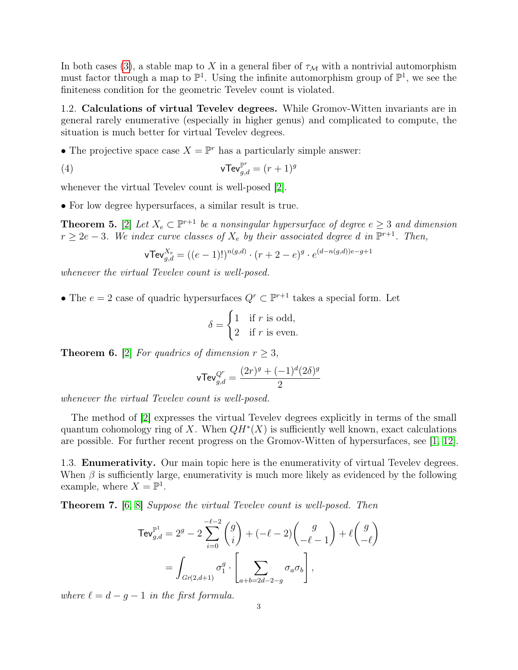In both cases [\(3\)](#page-1-0), a stable map to X in a general fiber of  $\tau_M$  with a nontrivial automorphism must factor through a map to  $\mathbb{P}^1$ . Using the infinite automorphism group of  $\mathbb{P}^1$ , we see the finiteness condition for the geometric Tevelev count is violated.

1.2. Calculations of virtual Tevelev degrees. While Gromov-Witten invariants are in general rarely enumerative (especially in higher genus) and complicated to compute, the situation is much better for virtual Tevelev degrees.

• The projective space case  $X = \mathbb{P}^r$  has a particularly simple answer:

(4) 
$$
\mathbf{vTev}_{g,d}^{\mathbb{P}^r} = (r+1)^g
$$

whenever the virtual Tevelev count is well-posed [\[2\]](#page-13-1).

• For low degree hypersurfaces, a similar result is true.

<span id="page-2-2"></span>**Theorem 5.** [\[2\]](#page-13-1) Let  $X_e \subset \mathbb{P}^{r+1}$  be a nonsingular hypersurface of degree  $e \geq 3$  and dimension  $r \geq 2e-3$ . We index curve classes of  $X_e$  by their associated degree d in  $\mathbb{P}^{r+1}$ . Then,

<span id="page-2-0"></span>
$$
\mathbf{vTev}_{g,d}^{X_e} = ((e-1)!)^{n(g,d)} \cdot (r+2-e)^g \cdot e^{(d-n(g,d))e-g+1}
$$

whenever the virtual Tevelev count is well-posed.

• The  $e = 2$  case of quadric hypersurfaces  $Q^r \subset \mathbb{P}^{r+1}$  takes a special form. Let

$$
\delta = \begin{cases} 1 & \text{if } r \text{ is odd,} \\ 2 & \text{if } r \text{ is even.} \end{cases}
$$

<span id="page-2-1"></span>**Theorem 6.** [\[2\]](#page-13-1) For quadrics of dimension  $r \geq 3$ ,

$$
\text{vTev}_{g,d}^{Q^r} = \frac{(2r)^g + (-1)^d (2\delta)^g}{2}
$$

whenever the virtual Tevelev count is well-posed.

The method of [\[2\]](#page-13-1) expresses the virtual Tevelev degrees explicitly in terms of the small quantum cohomology ring of X. When  $QH^*(X)$  is sufficiently well known, exact calculations are possible. For further recent progress on the Gromov-Witten of hypersurfaces, see [\[1,](#page-13-2) [12\]](#page-14-0).

1.3. Enumerativity. Our main topic here is the enumerativity of virtual Tevelev degrees. When  $\beta$  is sufficiently large, enumerativity is much more likely as evidenced by the following example, where  $X = \mathbb{P}^1$ .

<span id="page-2-3"></span>Theorem 7. [\[6,](#page-13-3) [8\]](#page-14-1) Suppose the virtual Tevelev count is well-posed. Then

$$
\begin{split} \mathsf{TeV}_{g,d}^{\mathbb{P}^1} &= 2^g - 2\sum_{i=0}^{-\ell-2} \binom{g}{i} + (-\ell-2) \binom{g}{-\ell-1} + \ell \binom{g}{-\ell} \\ &= \int_{Gr(2,d+1)} \sigma_1^g \cdot \left[ \sum_{a+b=2d-2-g} \sigma_a \sigma_b \right], \end{split}
$$

where  $\ell = d - g - 1$  in the first formula.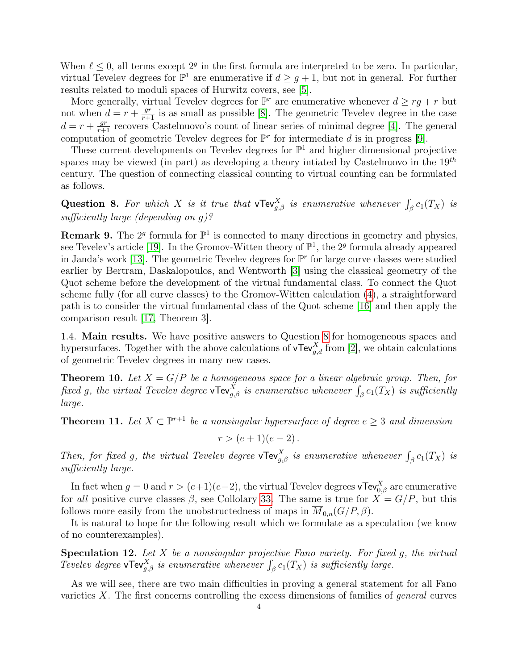When  $\ell \leq 0$ , all terms except  $2^g$  in the first formula are interpreted to be zero. In particular, virtual Tevelev degrees for  $\mathbb{P}^1$  are enumerative if  $d \geq g+1$ , but not in general. For further results related to moduli spaces of Hurwitz covers, see [\[5\]](#page-13-4).

More generally, virtual Tevelev degrees for  $\mathbb{P}^r$  are enumerative whenever  $d \geq rg + r$  but not when  $d = r + \frac{gr}{r+1}$  is as small as possible [\[8\]](#page-14-1). The geometric Tevelev degree in the case  $d = r + \frac{gr}{r+1}$  recovers Castelnuovo's count of linear series of minimal degree [\[4\]](#page-13-5). The general computation of geometric Tevelev degrees for  $\mathbb{P}^r$  for intermediate d is in progress [\[9\]](#page-14-2).

These current developments on Tevelev degrees for  $\mathbb{P}^1$  and higher dimensional projective spaces may be viewed (in part) as developing a theory intiated by Castelnuovo in the  $19^{th}$ century. The question of connecting classical counting to virtual counting can be formulated as follows.

<span id="page-3-0"></span>Question 8. For which X is it true that  $\mathsf{vTev}^X_{g,\beta}$  is enumerative whenever  $\int_{\beta} c_1(T_X)$  is sufficiently large (depending on g)?

<span id="page-3-4"></span>**Remark 9.** The  $2^g$  formula for  $\mathbb{P}^1$  is connected to many directions in geometry and physics, see Tevelev's article [\[19\]](#page-14-3). In the Gromov-Witten theory of  $\mathbb{P}^1$ , the 2<sup>*g*</sup> formula already appeared in Janda's work [\[13\]](#page-14-4). The geometric Tevelev degrees for  $\mathbb{P}^r$  for large curve classes were studied earlier by Bertram, Daskalopoulos, and Wentworth [\[3\]](#page-13-6) using the classical geometry of the Quot scheme before the development of the virtual fundamental class. To connect the Quot scheme fully (for all curve classes) to the Gromov-Witten calculation [\(4\)](#page-2-0), a straightforward path is to consider the virtual fundamental class of the Quot scheme [\[16\]](#page-14-5) and then apply the comparison result [\[17,](#page-14-6) Theorem 3].

<span id="page-3-3"></span>1.4. Main results. We have positive answers to Question [8](#page-3-0) for homogeneous spaces and hypersurfaces. Together with the above calculations of  $\mathsf{vTev}_{g,d}^X$  from [\[2\]](#page-13-1), we obtain calculations of geometric Tevelev degrees in many new cases.

<span id="page-3-2"></span>**Theorem 10.** Let  $X = G/P$  be a homogeneous space for a linear algebraic group. Then, for fixed g, the virtual Tevelev degree **vTev** $_{g,\beta}^X$  is enumerative whenever  $\int_{\beta} c_1(T_X)$  is sufficiently large.

<span id="page-3-1"></span>**Theorem 11.** Let  $X \subset \mathbb{P}^{r+1}$  be a nonsingular hypersurface of degree  $e \geq 3$  and dimension

 $r > (e+1)(e-2)$ .

Then, for fixed g, the virtual Tevelev degree vTev $_{g,\beta}^X$  is enumerative whenever  $\int_{\beta} c_1(T_X)$  is sufficiently large.

In fact when  $g = 0$  and  $r > (e+1)(e-2)$ , the virtual Tevelev degrees vTev $_{0,\beta}^X$  are enumerative for all positive curve classes  $\beta$ , see Collolary [33.](#page-12-1) The same is true for  $X = G/P$ , but this follows more easily from the unobstructedness of maps in  $M_{0,n}(G/P, \beta)$ .

It is natural to hope for the following result which we formulate as a speculation (we know of no counterexamples).

<span id="page-3-5"></span>**Speculation 12.** Let  $X$  be a nonsingular projective Fano variety. For fixed  $g$ , the virtual Tevelev degree vTev $_{g,\beta}^X$  is enumerative whenever  $\int_{\beta} c_1(T_X)$  is sufficiently large.

As we will see, there are two main difficulties in proving a general statement for all Fano varieties  $X$ . The first concerns controlling the excess dimensions of families of *general* curves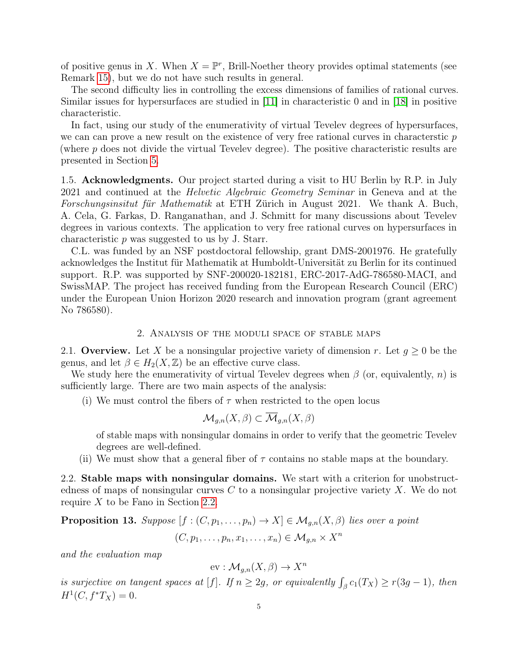of positive genus in X. When  $X = \mathbb{P}^r$ , Brill-Noether theory provides optimal statements (see Remark [15\)](#page-5-0), but we do not have such results in general.

The second difficulty lies in controlling the excess dimensions of families of rational curves. Similar issues for hypersurfaces are studied in [\[11\]](#page-14-7) in characteristic 0 and in [\[18\]](#page-14-8) in positive characteristic.

In fact, using our study of the enumerativity of virtual Tevelev degrees of hypersurfaces, we can can prove a new result on the existence of very free rational curves in characterstic  $p$ (where  $p$  does not divide the virtual Tevelev degree). The positive characteristic results are presented in Section [5.](#page-12-0)

1.5. **Acknowledgments.** Our project started during a visit to HU Berlin by R.P. in July 2021 and continued at the Helvetic Algebraic Geometry Seminar in Geneva and at the Forschungsinsitut für Mathematik at ETH Zürich in August 2021. We thank A. Buch, A. Cela, G. Farkas, D. Ranganathan, and J. Schmitt for many discussions about Tevelev degrees in various contexts. The application to very free rational curves on hypersurfaces in characteristic p was suggested to us by J. Starr.

C.L. was funded by an NSF postdoctoral fellowship, grant DMS-2001976. He gratefully acknowledges the Institut für Mathematik at Humboldt-Universität zu Berlin for its continued support. R.P. was supported by SNF-200020-182181, ERC-2017-AdG-786580-MACI, and SwissMAP. The project has received funding from the European Research Council (ERC) under the European Union Horizon 2020 research and innovation program (grant agreement No 786580).

### 2. Analysis of the moduli space of stable maps

<span id="page-4-0"></span>2.1. Overview. Let X be a nonsingular projective variety of dimension r. Let  $g \geq 0$  be the genus, and let  $\beta \in H_2(X, \mathbb{Z})$  be an effective curve class.

We study here the enumerativity of virtual Tevelev degrees when  $\beta$  (or, equivalently, n) is sufficiently large. There are two main aspects of the analysis:

(i) We must control the fibers of  $\tau$  when restricted to the open locus

$$
\mathcal{M}_{g,n}(X,\beta) \subset \overline{\mathcal{M}}_{g,n}(X,\beta)
$$

of stable maps with nonsingular domains in order to verify that the geometric Tevelev degrees are well-defined.

(ii) We must show that a general fiber of  $\tau$  contains no stable maps at the boundary.

<span id="page-4-1"></span>2.2. Stable maps with nonsingular domains. We start with a criterion for unobstructedness of maps of nonsingular curves  $C$  to a nonsingular projective variety  $X$ . We do not require  $X$  to be Fano in Section [2.2.](#page-4-1)

<span id="page-4-2"></span>**Proposition 13.** Suppose  $[f : (C, p_1, \ldots, p_n) \to X] \in \mathcal{M}_{g,n}(X, \beta)$  lies over a point  $(C, p_1, \ldots, p_n, x_1, \ldots, x_n) \in \mathcal{M}_{g,n} \times X^n$ 

and the evaluation map

$$
\text{ev}: \mathcal{M}_{g,n}(X,\beta) \to X^n
$$

is surjective on tangent spaces at [f]. If  $n \geq 2g$ , or equivalently  $\int_{\beta} c_1(T_X) \geq r(3g-1)$ , then  $H^1(C, f^*T_X) = 0.$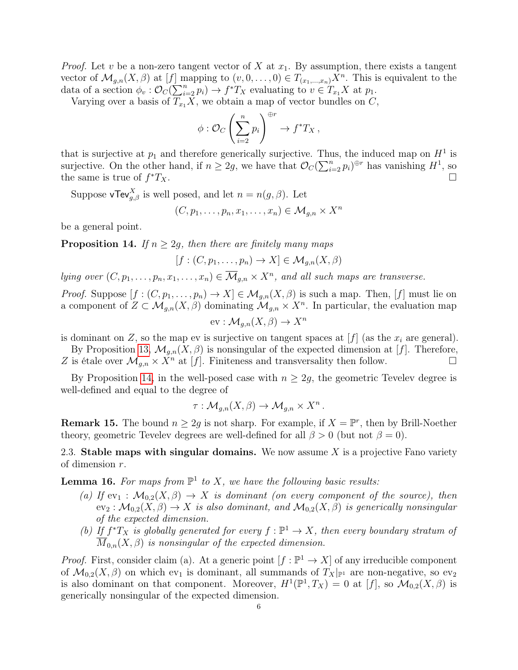*Proof.* Let v be a non-zero tangent vector of X at  $x_1$ . By assumption, there exists a tangent vector of  $\mathcal{M}_{g,n}(X,\beta)$  at  $[f]$  mapping to  $(v,0,\ldots,0) \in T_{(x_1,\ldots,x_n)}X^n$ . This is equivalent to the data of a section  $\phi_v : \mathcal{O}_C(\sum_{i=2}^n p_i) \to f^*T_X$  evaluating to  $v \in T_{x_1}X$  at  $p_1$ .

Varying over a basis of  $T_{x_1}X$ , we obtain a map of vector bundles on  $C$ ,

$$
\phi : \mathcal{O}_C\left(\sum_{i=2}^n p_i\right)^{\oplus r} \to f^*T_X \,,
$$

that is surjective at  $p_1$  and therefore generically surjective. Thus, the induced map on  $H^1$  is surjective. On the other hand, if  $n \geq 2g$ , we have that  $\mathcal{O}_C(\sum_{i=2}^n p_i)^{\oplus r}$  has vanishing  $H^1$ , so the same is true of  $f^*T_X$ .  $*T_X$ .

Suppose vTev $_{g,\beta}^X$  is well posed, and let  $n = n(g,\beta)$ . Let

$$
(C, p_1, \ldots, p_n, x_1, \ldots, x_n) \in \mathcal{M}_{g,n} \times X^n
$$

be a general point.

<span id="page-5-1"></span>**Proposition 14.** If  $n \geq 2g$ , then there are finitely many maps

 $[f : (C, p_1, \ldots, p_n) \to X] \in \mathcal{M}_{q,n}(X, \beta)$ 

lying over  $(C, p_1, \ldots, p_n, x_1, \ldots, x_n) \in \overline{\mathcal{M}}_{g,n} \times X^n$ , and all such maps are transverse.

*Proof.* Suppose  $[f:(C, p_1,\ldots,p_n)\to X]\in \mathcal{M}_{q,n}(X,\beta)$  is such a map. Then,  $[f]$  must lie on a component of  $Z \subset \mathcal{M}_{g,n}(X,\beta)$  dominating  $\mathcal{M}_{g,n} \times X^n$ . In particular, the evaluation map

$$
\text{ev}: \mathcal{M}_{g,n}(X,\beta) \to X^n
$$

is dominant on Z, so the map ev is surjective on tangent spaces at  $[f]$  (as the  $x_i$  are general).

By Proposition [13,](#page-4-2)  $\mathcal{M}_{g,n}(X,\beta)$  is nonsingular of the expected dimension at [f]. Therefore, Z is étale over  $\mathcal{M}_{q,n} \times \overline{X}^n$  at [f]. Finiteness and transversality then follow.

By Proposition [14,](#page-5-1) in the well-posed case with  $n \geq 2g$ , the geometric Tevelev degree is well-defined and equal to the degree of

$$
\tau: \mathcal{M}_{g,n}(X,\beta) \to \mathcal{M}_{g,n} \times X^n.
$$

<span id="page-5-0"></span>**Remark 15.** The bound  $n \geq 2g$  is not sharp. For example, if  $X = \mathbb{P}^r$ , then by Brill-Noether theory, geometric Tevelev degrees are well-defined for all  $\beta > 0$  (but not  $\beta = 0$ ).

2.3. Stable maps with singular domains. We now assume X is a projective Fano variety of dimension r.

<span id="page-5-2"></span>**Lemma 16.** For maps from  $\mathbb{P}^1$  to X, we have the following basic results:

- (a) If  $ev_1 : \mathcal{M}_{0,2}(X,\beta) \to X$  is dominant (on every component of the source), then  $ev_2: \mathcal{M}_{0,2}(X,\beta) \to X$  is also dominant, and  $\mathcal{M}_{0,2}(X,\beta)$  is generically nonsingular of the expected dimension.
- (b) If  $f^*T_X$  is globally generated for every  $f : \mathbb{P}^1 \to X$ , then every boundary stratum of  $\overline{M}_{0,n}(X,\beta)$  is nonsingular of the expected dimension.

*Proof.* First, consider claim (a). At a generic point  $[f : \mathbb{P}^1 \to X]$  of any irreducible component of  $\mathcal{M}_{0,2}(X,\beta)$  on which ev<sub>1</sub> is dominant, all summands of  $T_X|_{\mathbb{P}^1}$  are non-negative, so ev<sub>2</sub> is also dominant on that component. Moreover,  $H^1(\mathbb{P}^1, T_X) = 0$  at [f], so  $\mathcal{M}_{0,2}(X, \beta)$  is generically nonsingular of the expected dimension.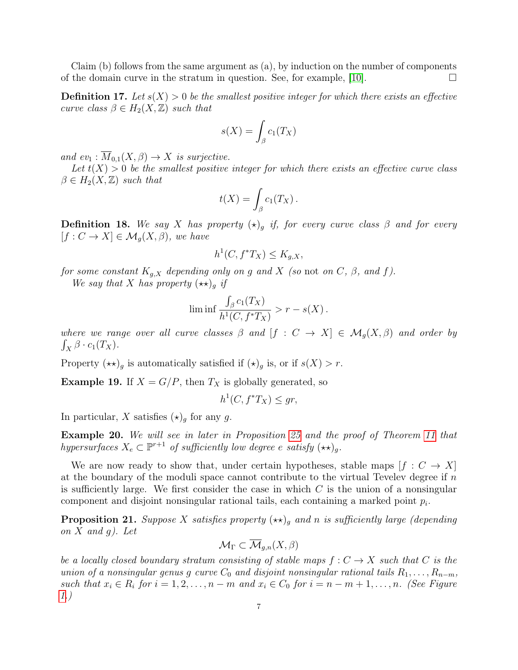Claim (b) follows from the same argument as (a), by induction on the number of components of the domain curve in the stratum in question. See, for example, [\[10\]](#page-14-9).  $\Box$ 

**Definition 17.** Let  $s(X) > 0$  be the smallest positive integer for which there exists an effective curve class  $\beta \in H_2(X, \mathbb{Z})$  such that

$$
s(X) = \int_{\beta} c_1(T_X)
$$

and  $ev_1 : \overline{M}_{0,1}(X,\beta) \to X$  is surjective.

Let  $t(X) > 0$  be the smallest positive integer for which there exists an effective curve class  $\beta \in H_2(X, \mathbb{Z})$  such that

$$
t(X) = \int_{\beta} c_1(T_X) .
$$

**Definition 18.** We say X has property  $(\star)_{q}$  if, for every curve class  $\beta$  and for every  $[f: C \to X] \in \mathcal{M}_q(X, \beta)$ , we have

$$
h^1(C, f^*T_X) \le K_{g,X},
$$

for some constant  $K_{g,X}$  depending only on g and X (so not on C,  $\beta$ , and f).

We say that X has property  $(\star \star)_q$  if

$$
\liminf \frac{\int_{\beta} c_1(T_X)}{h^1(C, f^*T_X)} > r - s(X).
$$

where we range over all curve classes  $\beta$  and  $[f: C \to X] \in \mathcal{M}_g(X, \beta)$  and order by  $\int_X \beta \cdot c_1(T_X)$ .

Property  $(\star \star)_g$  is automatically satisfied if  $(\star)_g$  is, or if  $s(X) > r$ .

**Example 19.** If  $X = G/P$ , then  $T_X$  is globally generated, so

$$
h^1(C, f^*T_X) \leq gr,
$$

In particular, X satisfies  $(\star)_g$  for any g.

Example 20. We will see in later in Proposition [25](#page-9-1) and the proof of Theorem [11](#page-3-1) that hypersurfaces  $X_e \subset \mathbb{P}^{r+1}$  of sufficiently low degree e satisfy  $(\star \star)_g$ .

We are now ready to show that, under certain hypotheses, stable maps  $[f: C \to X]$ at the boundary of the moduli space cannot contribute to the virtual Tevelev degree if  $n$ is sufficiently large. We first consider the case in which  $C$  is the union of a nonsingular component and disjoint nonsingular rational tails, each containing a marked point  $p_i$ .

<span id="page-6-0"></span>**Proposition 21.** Suppose X satisfies property  $(\star \star)$ <sub>g</sub> and n is sufficiently large (depending on  $X$  and  $q$ ). Let

$$
\mathcal{M}_\Gamma \subset \overline{\mathcal{M}}_{g,n}(X,\beta)
$$

be a locally closed boundary stratum consisting of stable maps  $f: C \rightarrow X$  such that C is the union of a nonsingular genus g curve  $C_0$  and disjoint nonsingular rational tails  $R_1, \ldots, R_{n-m}$ , such that  $x_i \in R_i$  for  $i = 1, 2, ..., n-m$  and  $x_i \in C_0$  for  $i = n-m+1, ..., n$ . (See Figure [1.](#page-7-0))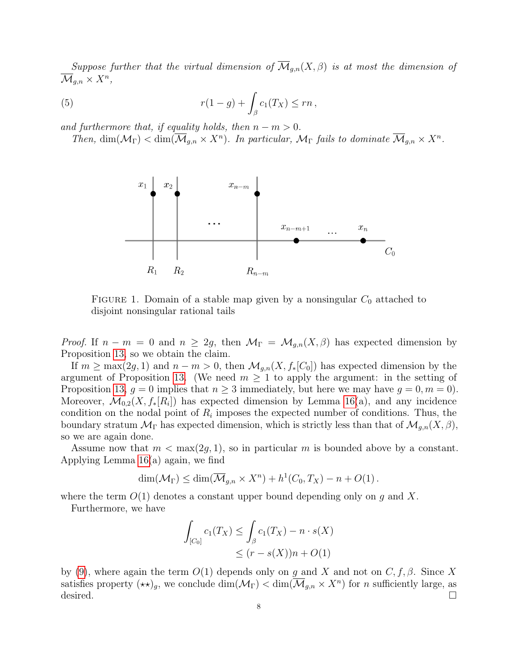Suppose further that the virtual dimension of  $\overline{\mathcal{M}}_{q,n}(X,\beta)$  is at most the dimension of  $\overline{\mathcal M}_{g,n}\times X^n,$ 

(5) 
$$
r(1-g) + \int_{\beta} c_1(T_X) \le rn,
$$

and furthermore that, if equality holds, then  $n - m > 0$ .

Then,  $\dim(\mathcal{M}_{\Gamma}) < \dim(\overline{\mathcal{M}}_{g,n} \times X^n)$ . In particular,  $\mathcal{M}_{\Gamma}$  fails to dominate  $\overline{\mathcal{M}}_{g,n} \times X^n$ .



<span id="page-7-0"></span>FIGURE 1. Domain of a stable map given by a nonsingular  $C_0$  attached to disjoint nonsingular rational tails

*Proof.* If  $n - m = 0$  and  $n \geq 2g$ , then  $\mathcal{M}_{\Gamma} = \mathcal{M}_{g,n}(X,\beta)$  has expected dimension by Proposition [13,](#page-4-2) so we obtain the claim.

If  $m \ge \max(2g, 1)$  and  $n - m > 0$ , then  $\mathcal{M}_{g,n}(X, f_*[C_0])$  has expected dimension by the argument of Proposition [13.](#page-4-2) (We need  $m \geq 1$  to apply the argument: in the setting of Proposition [13,](#page-4-2)  $g = 0$  implies that  $n \geq 3$  immediately, but here we may have  $g = 0, m = 0$ . Moreover,  $\mathcal{M}_{0,2}(X, f_*[R_i])$  has expected dimension by Lemma [16\(](#page-5-2)a), and any incidence condition on the nodal point of  $R_i$  imposes the expected number of conditions. Thus, the boundary stratum  $\mathcal{M}_{\Gamma}$  has expected dimension, which is strictly less than that of  $\mathcal{M}_{g,n}(X,\beta)$ , so we are again done.

Assume now that  $m < \max(2g, 1)$ , so in particular m is bounded above by a constant. Applying Lemma [16\(](#page-5-2)a) again, we find

$$
\dim(\mathcal{M}_{\Gamma}) \leq \dim(\overline{\mathcal{M}}_{g,n} \times X^n) + h^1(C_0, T_X) - n + O(1).
$$

where the term  $O(1)$  denotes a constant upper bound depending only on g and X.

Furthermore, we have

$$
\int_{[C_0]} c_1(T_X) \le \int_{\beta} c_1(T_X) - n \cdot s(X)
$$
  

$$
\le (r - s(X))n + O(1)
$$

by [\(9\)](#page-11-1), where again the term  $O(1)$  depends only on g and X and not on  $C, f, \beta$ . Since X satisfies property  $(\star \star)_g$ , we conclude  $\dim(\mathcal{M}_{\Gamma}) < \dim(\overline{\mathcal{M}}_{g,n} \times X^n)$  for *n* sufficiently large, as desired.  $\Box$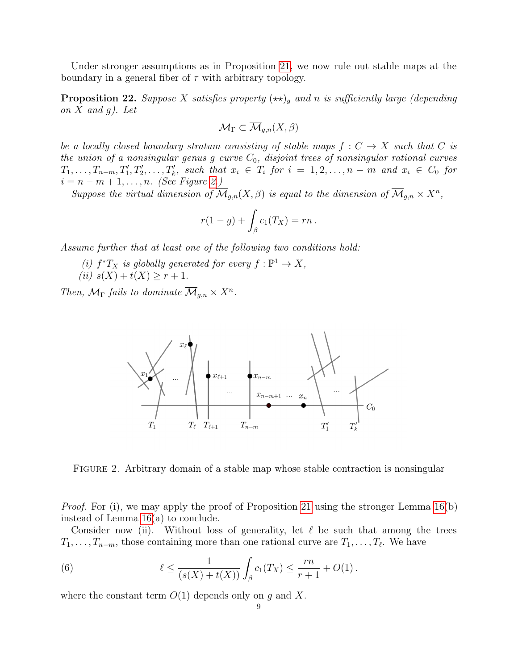Under stronger assumptions as in Proposition [21,](#page-6-0) we now rule out stable maps at the boundary in a general fiber of  $\tau$  with arbitrary topology.

<span id="page-8-2"></span>**Proposition 22.** Suppose X satisfies property  $(\star \star)_{g}$  and n is sufficiently large (depending on  $X$  and  $g$ ). Let

$$
\mathcal{M}_{\Gamma}\subset\overline{\mathcal{M}}_{g,n}(X,\beta)
$$

be a locally closed boundary stratum consisting of stable maps  $f: C \rightarrow X$  such that C is the union of a nonsingular genus g curve  $C_0$ , disjoint trees of nonsingular rational curves  $T_1, \ldots, T_{n-m}, T'_1, T'_2, \ldots, T'_k$ , such that  $x_i \in T_i$  for  $i = 1, 2, \ldots, n-m$  and  $x_i \in C_0$  for  $i = n - m + 1, \ldots, n$ . (See Figure [2.](#page-8-0))

Suppose the virtual dimension of  $\overline{\mathcal{M}}_{g,n}(X,\beta)$  is equal to the dimension of  $\overline{\mathcal{M}}_{g,n} \times X^n$ ,

$$
r(1-g) + \int_{\beta} c_1(T_X) = rn.
$$

Assume further that at least one of the following two conditions hold:

(i)  $f^*T_X$  is globally generated for every  $f: \mathbb{P}^1 \to X$ , (ii)  $s(X) + t(X) \geq r + 1$ .

Then,  $\mathcal{M}_{\Gamma}$  fails to dominate  $\overline{\mathcal{M}}_{g,n} \times X^{n}$ .



<span id="page-8-0"></span>FIGURE 2. Arbitrary domain of a stable map whose stable contraction is nonsingular

*Proof.* For (i), we may apply the proof of Proposition [21](#page-6-0) using the stronger Lemma  $16(b)$ instead of Lemma [16\(](#page-5-2)a) to conclude.

Consider now (ii). Without loss of generality, let  $\ell$  be such that among the trees  $T_1, \ldots, T_{n-m}$ , those containing more than one rational curve are  $T_1, \ldots, T_{\ell}$ . We have

<span id="page-8-1"></span>(6) 
$$
\ell \leq \frac{1}{(s(X) + t(X))} \int_{\beta} c_1(T_X) \leq \frac{rn}{r+1} + O(1).
$$

where the constant term  $O(1)$  depends only on g and X.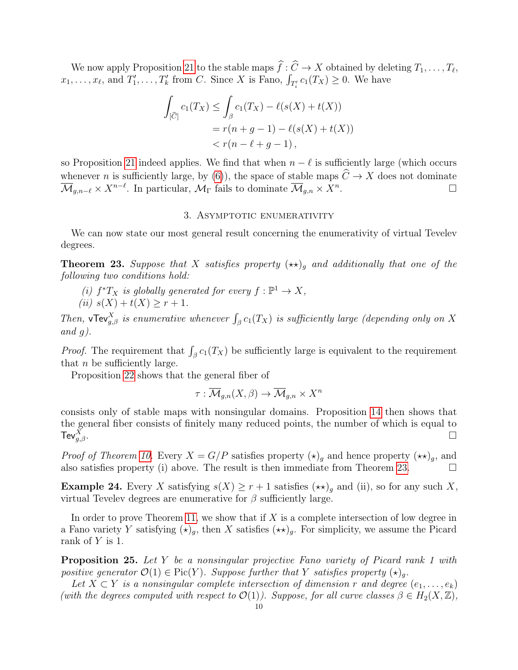We now apply Proposition [21](#page-6-0) to the stable maps  $f: C \to X$  obtained by deleting  $T_1, \ldots, T_\ell$ ,  $x_1, \ldots, x_\ell$ , and  $T'_1, \ldots, T'_k$  from C. Since X is Fano,  $\int_{T'_i} c_1(T_X) \geq 0$ . We have

$$
\int_{[\widehat{C}]} c_1(T_X) \le \int_{\beta} c_1(T_X) - \ell(s(X) + t(X))
$$
  
=  $r(n + g - 1) - \ell(s(X) + t(X))$   
<  $r(n - \ell + g - 1),$ 

so Proposition [21](#page-6-0) indeed applies. We find that when  $n - \ell$  is sufficiently large (which occurs whenever *n* is sufficiently large, by [\(6\)](#page-8-1)), the space of stable maps  $\widehat{C} \to X$  does not dominate  $\overline{\mathcal{M}}_{\alpha,n} \times X^n$ .  $\overline{\mathcal{M}}_{g,n-\ell} \times X^{n-\ell}$ . In particular,  $\mathcal{M}_{\Gamma}$  fails to dominate  $\overline{\mathcal{M}}_{g,n} \times X^n$ . — Первый процесс в постановки программа в серверном становки производительно становки производительно станов<br>В серверном становки производительно становки производительно становки производительно становки производительн

## 3. ASYMPTOTIC ENUMERATIVITY

<span id="page-9-0"></span>We can now state our most general result concerning the enumerativity of virtual Tevelev degrees.

<span id="page-9-2"></span>**Theorem 23.** Suppose that X satisfies property  $(\star \star)_{g}$  and additionally that one of the following two conditions hold:

(i)  $f^*T_X$  is globally generated for every  $f: \mathbb{P}^1 \to X$ , (ii)  $s(X) + t(X) > r + 1$ .

Then,  $\mathbf{vTev}_{g,\beta}^X$  is enumerative whenever  $\int_{\beta} c_1(T_X)$  is sufficiently large (depending only on X and  $q$ ).

*Proof.* The requirement that  $\int_{\beta} c_1(T_X)$  be sufficiently large is equivalent to the requirement that  $n$  be sufficiently large.

Proposition [22](#page-8-2) shows that the general fiber of

$$
\tau: \overline{\mathcal{M}}_{g,n}(X,\beta) \to \overline{\mathcal{M}}_{g,n} \times X^n
$$

consists only of stable maps with nonsingular domains. Proposition [14](#page-5-1) then shows that the general fiber consists of finitely many reduced points, the number of which is equal to Tev $_{q,\beta}^X$ .  $\overline{X}$ <br>g,β.

*Proof of Theorem [10.](#page-3-2)* Every  $X = G/P$  satisfies property  $(\star)_q$  and hence property  $(\star \star)_q$ , and also satisfies property (i) above. The result is then immediate from Theorem [23.](#page-9-2)  $\Box$ 

**Example 24.** Every X satisfying  $s(X) \geq r+1$  satisfies  $(\star \star)_g$  and (ii), so for any such X, virtual Tevelev degrees are enumerative for  $\beta$  sufficiently large.

In order to prove Theorem [11,](#page-3-1) we show that if  $X$  is a complete intersection of low degree in a Fano variety Y satisfying  $(\star)_q$ , then X satisfies  $(\star \star)_q$ . For simplicity, we assume the Picard rank of Y is 1.

<span id="page-9-1"></span>Proposition 25. Let Y be a nonsingular projective Fano variety of Picard rank 1 with positive generator  $\mathcal{O}(1) \in Pic(Y)$ . Suppose further that Y satisfies property  $(\star)_q$ .

Let  $X \subset Y$  is a nonsingular complete intersection of dimension r and degree  $(e_1, \ldots, e_k)$ (with the degrees computed with respect to  $\mathcal{O}(1)$ ). Suppose, for all curve classes  $\beta \in H_2(X,\mathbb{Z})$ ,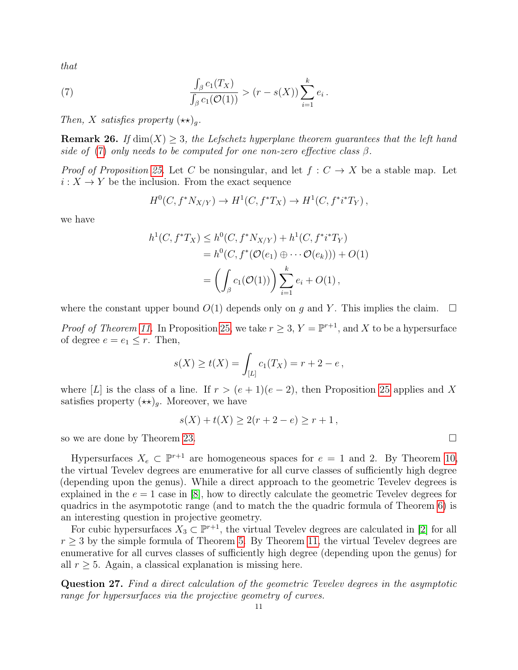that

(7) 
$$
\frac{\int_{\beta} c_1(T_X)}{\int_{\beta} c_1(\mathcal{O}(1))} > (r - s(X)) \sum_{i=1}^{k} e_i.
$$

Then, X satisfies property  $(\star \star)_g$ .

<span id="page-10-1"></span>**Remark 26.** If  $\dim(X) \geq 3$ , the Lefschetz hyperplane theorem guarantees that the left hand side of [\(7\)](#page-10-0) only needs to be computed for one non-zero effective class  $\beta$ .

*Proof of Proposition [25.](#page-9-1)* Let C be nonsingular, and let  $f: C \to X$  be a stable map. Let  $i: X \to Y$  be the inclusion. From the exact sequence

<span id="page-10-0"></span>
$$
H^0(C, f^*N_{X/Y}) \to H^1(C, f^*T_X) \to H^1(C, f^*i^*T_Y),
$$

we have

$$
h^{1}(C, f^{*}T_{X}) \leq h^{0}(C, f^{*}N_{X/Y}) + h^{1}(C, f^{*}i^{*}T_{Y})
$$
  
=  $h^{0}(C, f^{*}(\mathcal{O}(e_{1}) \oplus \cdots \mathcal{O}(e_{k}))) + O(1)$   
=  $\left(\int_{\beta} c_{1}(\mathcal{O}(1))\right) \sum_{i=1}^{k} e_{i} + O(1),$ 

where the constant upper bound  $O(1)$  depends only on g and Y. This implies the claim.  $\Box$ 

*Proof of Theorem [11.](#page-3-1)* In Proposition [25,](#page-9-1) we take  $r \geq 3$ ,  $Y = \mathbb{P}^{r+1}$ , and X to be a hypersurface of degree  $e = e_1 \leq r$ . Then,

$$
s(X) \ge t(X) = \int_{[L]} c_1(T_X) = r + 2 - e,
$$

where [L] is the class of a line. If  $r > (e + 1)(e - 2)$ , then Proposition [25](#page-9-1) applies and X satisfies property  $(\star \star)_q$ . Moreover, we have

$$
s(X) + t(X) \ge 2(r + 2 - e) \ge r + 1,
$$

so we are done by Theorem [23.](#page-9-2)

Hypersurfaces  $X_e \subset \mathbb{P}^{r+1}$  are homogeneous spaces for  $e = 1$  and 2. By Theorem [10,](#page-3-2) the virtual Tevelev degrees are enumerative for all curve classes of sufficiently high degree (depending upon the genus). While a direct approach to the geometric Tevelev degrees is explained in the  $e = 1$  case in [\[8\]](#page-14-1), how to directly calculate the geometric Tevelev degrees for quadrics in the asympototic range (and to match the the quadric formula of Theorem [6\)](#page-2-1) is an interesting question in projective geometry.

For cubic hypersurfaces  $X_3 \subset \mathbb{P}^{r+1}$ , the virtual Tevelev degrees are calculated in [\[2\]](#page-13-1) for all  $r \geq 3$  by the simple formula of Theorem [5.](#page-2-2) By Theorem [11,](#page-3-1) the virtual Tevelev degrees are enumerative for all curves classes of sufficiently high degree (depending upon the genus) for all  $r \geq 5$ . Again, a classical explanation is missing here.

Question 27. Find a direct calculation of the geometric Tevelev degrees in the asymptotic range for hypersurfaces via the projective geometry of curves.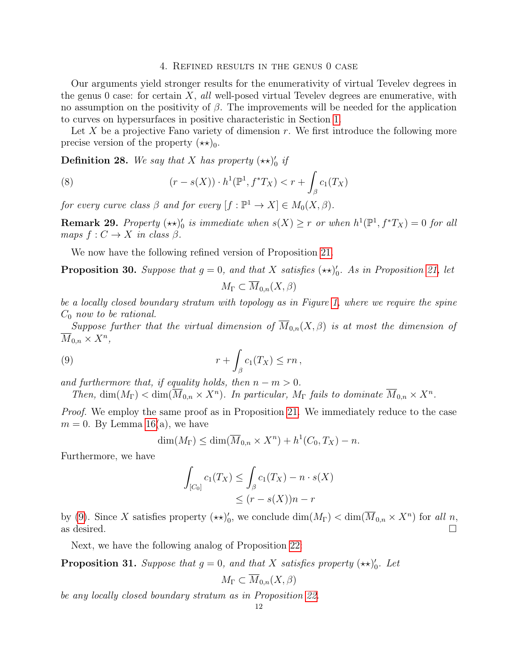#### 4. Refined results in the genus 0 case

<span id="page-11-0"></span>Our arguments yield stronger results for the enumerativity of virtual Tevelev degrees in the genus 0 case: for certain  $X$ , all well-posed virtual Tevelev degrees are enumerative, with no assumption on the positivity of  $\beta$ . The improvements will be needed for the application to curves on hypersurfaces in positive characteristic in Section [1.](#page-0-1)

Let X be a projective Fano variety of dimension  $r$ . We first introduce the following more precise version of the property  $(\star \star)_0$ .

**Definition 28.** We say that X has property  $(\star \star)'_0$  if

(8) 
$$
(r - s(X)) \cdot h^{1}(\mathbb{P}^{1}, f^{*}T_{X}) < r + \int_{\beta} c_{1}(T_{X})
$$

for every curve class  $\beta$  and for every  $[f: \mathbb{P}^1 \to X] \in M_0(X, \beta)$ .

**Remark 29.** Property  $(\star \star)'_0$  is immediate when  $s(X) \geq r$  or when  $h^1(\mathbb{P}^1, f^*T_X) = 0$  for all maps  $f: C \to X$  in class  $\beta$ .

We now have the following refined version of Proposition [21.](#page-6-0)

<span id="page-11-2"></span>**Proposition 30.** Suppose that  $g = 0$ , and that X satisfies  $(\star \star)'_0$ . As in Proposition [21,](#page-6-0) let

<span id="page-11-1"></span>
$$
M_{\Gamma} \subset \overline{M}_{0,n}(X,\beta)
$$

be a locally closed boundary stratum with topology as in Figure [1,](#page-7-0) where we require the spine  $C_0$  now to be rational.

Suppose further that the virtual dimension of  $\overline{M}_{0,n}(X,\beta)$  is at most the dimension of  $\overline{M}_{0,n} \times X^n$ ,

(9) 
$$
r + \int_{\beta} c_1(T_X) \leq rn,
$$

and furthermore that, if equality holds, then  $n - m > 0$ .

Then,  $\dim(M_{\Gamma}) < \dim(\overline{M}_{0,n} \times X^n)$ . In particular,  $M_{\Gamma}$  fails to dominate  $\overline{M}_{0,n} \times X^n$ .

*Proof.* We employ the same proof as in Proposition [21.](#page-6-0) We immediately reduce to the case  $m = 0$ . By Lemma [16\(](#page-5-2)a), we have

$$
\dim(M_{\Gamma}) \le \dim(\overline{M}_{0,n} \times X^n) + h^1(C_0, T_X) - n.
$$

Furthermore, we have

$$
\int_{[C_0]} c_1(T_X) \le \int_{\beta} c_1(T_X) - n \cdot s(X)
$$
  

$$
\le (r - s(X))n - r
$$

by [\(9\)](#page-11-1). Since X satisfies property  $(\star \star)'_0$ , we conclude  $\dim(M_{\Gamma}) < \dim(\overline{M}_{0,n} \times X^n)$  for all n, as desired.  $\square$ 

Next, we have the following analog of Proposition [22:](#page-8-2)

<span id="page-11-3"></span>**Proposition 31.** Suppose that  $g = 0$ , and that X satisfies property  $(\star \star)'_0$ . Let

$$
M_{\Gamma} \subset \overline{M}_{0,n}(X,\beta)
$$

be any locally closed boundary stratum as in Proposition [22.](#page-8-2)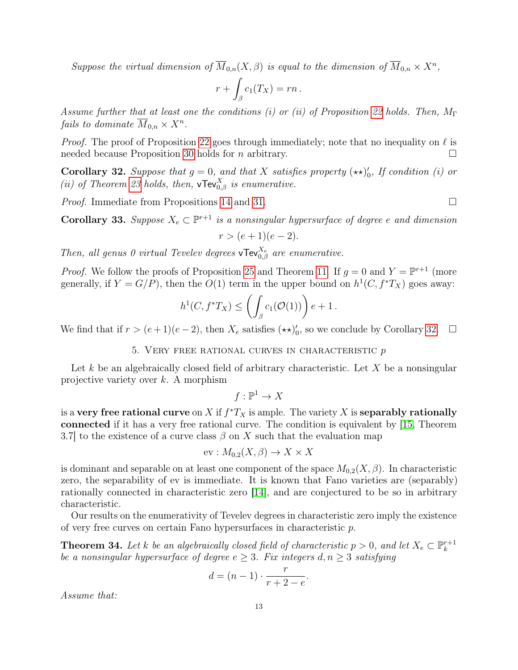Suppose the virtual dimension of  $\overline{M}_{0,n}(X,\beta)$  is equal to the dimension of  $\overline{M}_{0,n} \times X^n$ ,

$$
r + \int_{\beta} c_1(T_X) = rn.
$$

Assume further that at least one the conditions (i) or (ii) of Proposition [22](#page-8-2) holds. Then,  $M_{\Gamma}$ fails to dominate  $\overline{M}_{0,n} \times X^n$ .

*Proof.* The proof of Proposition [22](#page-8-2) goes through immediately; note that no inequality on  $\ell$  is needed because Proposition [30](#page-11-2) holds for *n* arbitrary.  $\square$ 

<span id="page-12-2"></span>**Corollary 32.** Suppose that  $g = 0$ , and that X satisfies property  $(\star \star)'_0$ , If condition (i) or (ii) of Theorem [23](#page-9-2) holds, then,  $\mathbf{vTev}_{0,\beta}^X$  is enumerative.

*Proof.* Immediate from Propositions [14](#page-5-1) and [31.](#page-11-3)

<span id="page-12-1"></span>**Corollary 33.** Suppose  $X_e \subset \mathbb{P}^{r+1}$  is a nonsingular hypersurface of degree e and dimension

$$
r > (e+1)(e-2).
$$

Then, all genus 0 virtual Tevelev degrees  $\mathbf{vTev}_{0,\beta}^{X_e}$  are enumerative.

*Proof.* We follow the proofs of Proposition [25](#page-9-1) and Theorem [11.](#page-3-1) If  $g = 0$  and  $Y = \mathbb{P}^{r+1}$  (more generally, if  $Y = G/P$ , then the  $O(1)$  term in the upper bound on  $h^1(C, f^*T_X)$  goes away:

$$
h^1(C, f^*T_X) \le \left(\int_{\beta} c_1(\mathcal{O}(1))\right) e + 1.
$$

We find that if  $r > (e+1)(e-2)$ , then  $X_e$  satisfies  $(\star \star)'_0$ , so we conclude by Corollary [32.](#page-12-2)  $\Box$ 

5. Very free rational curves in characteristic p

<span id="page-12-0"></span>Let k be an algebraically closed field of arbitrary characteristic. Let X be a nonsingular projective variety over k. A morphism

 $f:\mathbb{P}^1\to X$ 

is a very free rational curve on X if  $f^*T_X$  is ample. The variety X is separably rationally connected if it has a very free rational curve. The condition is equivalent by [\[15,](#page-14-10) Theorem 3.7] to the existence of a curve class  $\beta$  on X such that the evaluation map

$$
ev: M_{0,2}(X, \beta) \to X \times X
$$

is dominant and separable on at least one component of the space  $M_{0,2}(X,\beta)$ . In characteristic zero, the separability of ev is immediate. It is known that Fano varieties are (separably) rationally connected in characteristic zero [\[14\]](#page-14-11), and are conjectured to be so in arbitrary characteristic.

Our results on the enumerativity of Tevelev degrees in characteristic zero imply the existence of very free curves on certain Fano hypersurfaces in characteristic p.

<span id="page-12-3"></span>**Theorem 34.** Let k be an algebraically closed field of characteristic  $p > 0$ , and let  $X_e \subset \mathbb{P}_k^{r+1}$ k be a nonsingular hypersurface of degree  $e \geq 3$ . Fix integers  $d, n \geq 3$  satisfying

$$
d = (n-1) \cdot \frac{r}{r+2-e}.
$$

Assume that: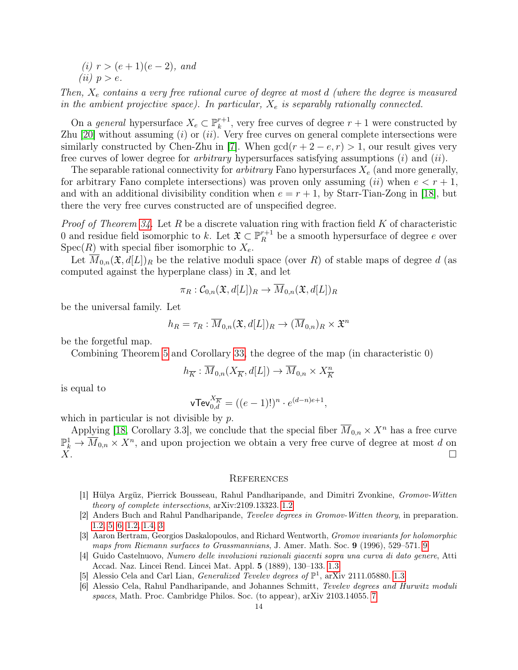(i)  $r > (e+1)(e-2)$ , and (*ii*)  $p > e$ .

<span id="page-13-7"></span>Then,  $X_e$  contains a very free rational curve of degree at most d (where the degree is measured in the ambient projective space). In particular,  $X_e$  is separably rationally connected.

On a *general* hypersurface  $X_e \subset \mathbb{P}_k^{r+1}$  $k^{r+1}$ , very free curves of degree  $r+1$  were constructed by Zhu [\[20\]](#page-14-12) without assuming  $(i)$  or  $(ii)$ . Very free curves on general complete intersections were similarly constructed by Chen-Zhu in [\[7\]](#page-14-13). When  $gcd(r + 2 - e, r) > 1$ , our result gives very free curves of lower degree for arbitrary hypersurfaces satisfying assumptions (i) and (ii).

The separable rational connectivity for *arbitrary* Fano hypersurfaces  $X_e$  (and more generally, for arbitrary Fano complete intersections) was proven only assuming (ii) when  $e < r + 1$ , and with an additional divisibility condition when  $e = r + 1$ , by Starr-Tian-Zong in [\[18\]](#page-14-8), but there the very free curves constructed are of unspecified degree.

*Proof of Theorem [34.](#page-12-3)* Let R be a discrete valuation ring with fraction field K of characteristic 0 and residue field isomorphic to k. Let  $\mathfrak{X} \subset \mathbb{P}^{r+1}_R$  be a smooth hypersurface of degree e over  $Spec(R)$  with special fiber isomorphic to  $X_e$ .

Let  $M_{0,n}(\mathfrak{X},d[L])_R$  be the relative moduli space (over R) of stable maps of degree d (as computed against the hyperplane class) in  $\mathfrak{X}$ , and let

$$
\pi_R : \mathcal C_{0,n}(\mathfrak X,d[L])_R \rightarrow \overline{M}_{0,n}(\mathfrak X,d[L])_R
$$

be the universal family. Let

$$
h_R = \tau_R : \overline{M}_{0,n}(\mathfrak{X}, d[L])_R \to (\overline{M}_{0,n})_R \times \mathfrak{X}^n
$$

be the forgetful map.

Combining Theorem [5](#page-2-2) and Corollary [33,](#page-12-1) the degree of the map (in characteristic 0)

$$
h_{\overline{K}} : \overline{M}_{0,n}(X_{\overline{K}}, d[L]) \to \overline{M}_{0,n} \times X_{\overline{K}}^{n}
$$

is equal to

$$
\mathsf{vTev}_{0,d}^{X_{\overline{K}}} = ((e-1)!)^n \cdot e^{(d-n)e+1},
$$

which in particular is not divisible by  $p$ .

Applying [\[18,](#page-14-8) Corollary 3.3], we conclude that the special fiber  $\overline{M}_{0,n} \times X^n$  has a free curve  $\mathbb{P}_k^1 \to \overline{M}_{0,n} \times X^n$ , and upon projection we obtain a very free curve of degree at most d on  $\ddot{X}$ .

## <span id="page-13-0"></span>**REFERENCES**

- <span id="page-13-2"></span>[1] Hülya Argüz, Pierrick Bousseau, Rahul Pandharipande, and Dimitri Zvonkine, Gromov-Witten theory of complete intersections, arXiv:2109.13323. [1.2](#page-2-1)
- <span id="page-13-1"></span>[2] Anders Buch and Rahul Pandharipande, Tevelev degrees in Gromov-Witten theory, in preparation. [1.2,](#page-2-0) [5,](#page-2-2) [6, 1.2,](#page-2-1) [1.4,](#page-3-3) [3](#page-10-1)
- <span id="page-13-6"></span>[3] Aaron Bertram, Georgios Daskalopoulos, and Richard Wentworth, Gromov invariants for holomorphic maps from Riemann surfaces to Grassmannians, J. Amer. Math. Soc. 9 (1996), 529–571. [9](#page-3-4)
- <span id="page-13-5"></span>[4] Guido Castelnuovo, Numero delle involuzioni razionali giacenti sopra una curva di dato genere, Atti Accad. Naz. Lincei Rend. Lincei Mat. Appl. 5 (1889), 130–133. [1.3](#page-2-3)
- <span id="page-13-4"></span>[5] Alessio Cela and Carl Lian, *Generalized Tevelev degrees of*  $\mathbb{P}^1$ , arXiv 2111.05880. [1.3](#page-2-3)
- <span id="page-13-3"></span>[6] Alessio Cela, Rahul Pandharipande, and Johannes Schmitt, Tevelev degrees and Hurwitz moduli spaces, Math. Proc. Cambridge Philos. Soc. (to appear), arXiv 2103.14055. [7](#page-2-3)